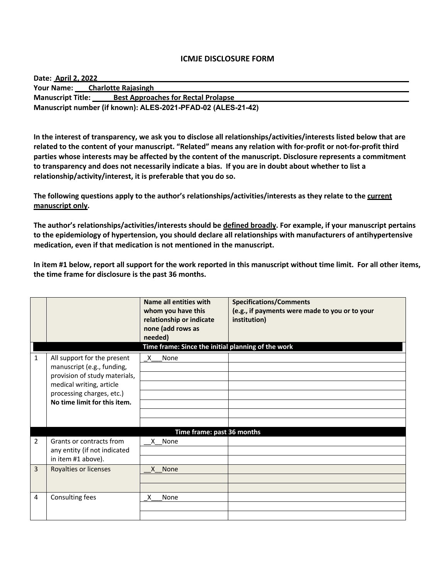### **ICMJE DISCLOSURE FORM**

| Date: April 2, 2022                                          |                                            |  |  |
|--------------------------------------------------------------|--------------------------------------------|--|--|
|                                                              | Your Name: Charlotte Rajasingh             |  |  |
| <b>Manuscript Title:</b>                                     | <b>Best Approaches for Rectal Prolapse</b> |  |  |
| Manuscript number (if known): ALES-2021-PFAD-02 (ALES-21-42) |                                            |  |  |

**In the interest of transparency, we ask you to disclose all relationships/activities/interests listed below that are related to the content of your manuscript. "Related" means any relation with for-profit or not-for-profit third parties whose interests may be affected by the content of the manuscript. Disclosure represents a commitment to transparency and does not necessarily indicate a bias. If you are in doubt about whether to list a relationship/activity/interest, it is preferable that you do so.** 

**The following questions apply to the author's relationships/activities/interests as they relate to the current manuscript only.**

**The author's relationships/activities/interests should be defined broadly. For example, if your manuscript pertains to the epidemiology of hypertension, you should declare all relationships with manufacturers of antihypertensive medication, even if that medication is not mentioned in the manuscript.** 

**In item #1 below, report all support for the work reported in this manuscript without time limit. For all other items, the time frame for disclosure is the past 36 months.** 

|                |                                                                                                                                                                                     | Name all entities with<br>whom you have this<br>relationship or indicate<br>none (add rows as<br>needed)<br>Time frame: Since the initial planning of the work | <b>Specifications/Comments</b><br>(e.g., if payments were made to you or to your<br>institution) |
|----------------|-------------------------------------------------------------------------------------------------------------------------------------------------------------------------------------|----------------------------------------------------------------------------------------------------------------------------------------------------------------|--------------------------------------------------------------------------------------------------|
| $\mathbf{1}$   | All support for the present<br>manuscript (e.g., funding,<br>provision of study materials,<br>medical writing, article<br>processing charges, etc.)<br>No time limit for this item. | X<br>None                                                                                                                                                      |                                                                                                  |
| $\overline{2}$ | Grants or contracts from<br>any entity (if not indicated<br>in item #1 above).                                                                                                      | Time frame: past 36 months<br>X None                                                                                                                           |                                                                                                  |
| 3              | Royalties or licenses                                                                                                                                                               | X None                                                                                                                                                         |                                                                                                  |
| 4              | Consulting fees                                                                                                                                                                     | None<br>X                                                                                                                                                      |                                                                                                  |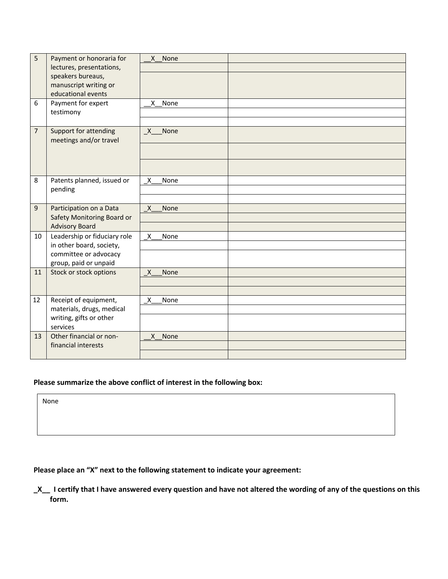| 5<br>6         | Payment or honoraria for<br>lectures, presentations,<br>speakers bureaus,<br>manuscript writing or<br>educational events<br>Payment for expert<br>testimony | X None<br>None<br>X. |  |
|----------------|-------------------------------------------------------------------------------------------------------------------------------------------------------------|----------------------|--|
| $\overline{7}$ | Support for attending<br>meetings and/or travel                                                                                                             | None<br>X            |  |
| 8              | Patents planned, issued or<br>pending                                                                                                                       | X<br>None            |  |
| 9              | Participation on a Data<br>Safety Monitoring Board or<br><b>Advisory Board</b>                                                                              | X<br>None            |  |
| 10             | Leadership or fiduciary role<br>in other board, society,<br>committee or advocacy<br>group, paid or unpaid                                                  | X<br>None            |  |
| 11             | Stock or stock options                                                                                                                                      | $\mathsf{X}$<br>None |  |
| 12             | Receipt of equipment,<br>materials, drugs, medical<br>writing, gifts or other<br>services                                                                   | X<br>None            |  |
| 13             | Other financial or non-<br>financial interests                                                                                                              | None<br>X            |  |

## **Please summarize the above conflict of interest in the following box:**

None

# **Please place an "X" next to the following statement to indicate your agreement:**

**\_X\_\_ I certify that I have answered every question and have not altered the wording of any of the questions on this form.**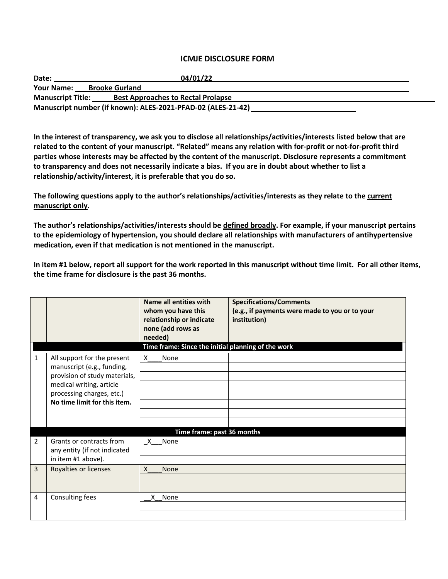### **ICMJE DISCLOSURE FORM**

| Date:                                                        | 04/01/22                                  |  |  |
|--------------------------------------------------------------|-------------------------------------------|--|--|
| <b>Your Name:</b>                                            | <b>Brooke Gurland</b>                     |  |  |
| <b>Manuscript Title:</b>                                     | <b>Best Approaches to Rectal Prolapse</b> |  |  |
| Manuscript number (if known): ALES-2021-PFAD-02 (ALES-21-42) |                                           |  |  |

**In the interest of transparency, we ask you to disclose all relationships/activities/interests listed below that are related to the content of your manuscript. "Related" means any relation with for-profit or not-for-profit third parties whose interests may be affected by the content of the manuscript. Disclosure represents a commitment to transparency and does not necessarily indicate a bias. If you are in doubt about whether to list a relationship/activity/interest, it is preferable that you do so.** 

**The following questions apply to the author's relationships/activities/interests as they relate to the current manuscript only.**

**The author's relationships/activities/interests should be defined broadly. For example, if your manuscript pertains to the epidemiology of hypertension, you should declare all relationships with manufacturers of antihypertensive medication, even if that medication is not mentioned in the manuscript.** 

**In item #1 below, report all support for the work reported in this manuscript without time limit. For all other items, the time frame for disclosure is the past 36 months.** 

|              |                                                                                                                                                                                     | Name all entities with<br>whom you have this<br>relationship or indicate<br>none (add rows as<br>needed)<br>Time frame: Since the initial planning of the work | <b>Specifications/Comments</b><br>(e.g., if payments were made to you or to your<br>institution) |
|--------------|-------------------------------------------------------------------------------------------------------------------------------------------------------------------------------------|----------------------------------------------------------------------------------------------------------------------------------------------------------------|--------------------------------------------------------------------------------------------------|
| $\mathbf{1}$ | All support for the present<br>manuscript (e.g., funding,<br>provision of study materials,<br>medical writing, article<br>processing charges, etc.)<br>No time limit for this item. | X<br>None                                                                                                                                                      |                                                                                                  |
|              |                                                                                                                                                                                     | Time frame: past 36 months                                                                                                                                     |                                                                                                  |
| 2            | Grants or contracts from<br>any entity (if not indicated<br>in item #1 above).                                                                                                      | X<br>None                                                                                                                                                      |                                                                                                  |
| 3            | Royalties or licenses                                                                                                                                                               | $\mathsf{X}$<br>None                                                                                                                                           |                                                                                                  |
| 4            | Consulting fees                                                                                                                                                                     | None<br>X.                                                                                                                                                     |                                                                                                  |